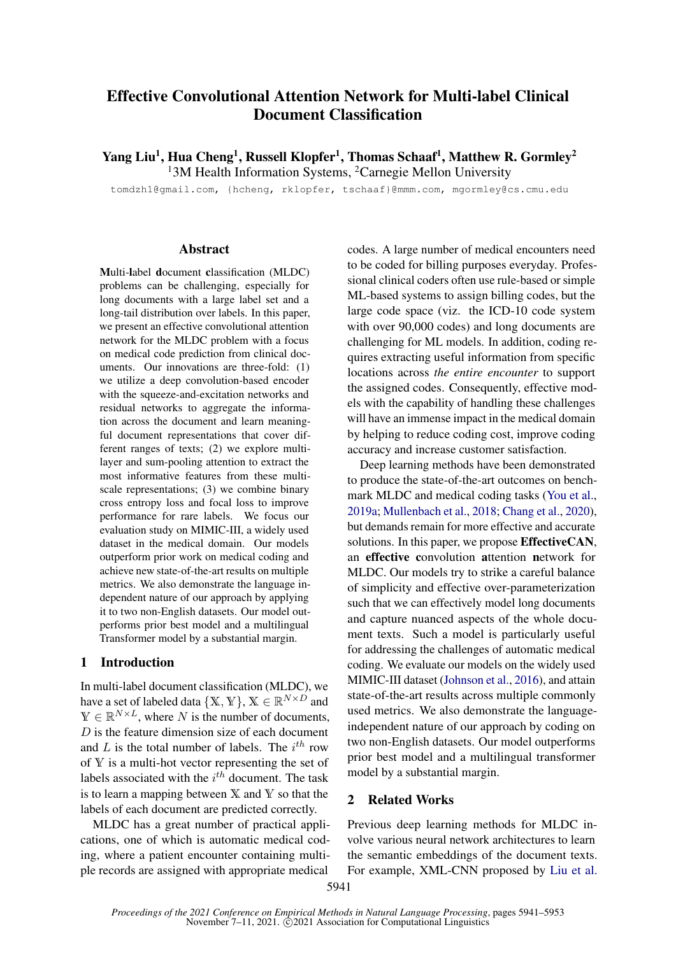# Effective Convolutional Attention Network for Multi-label Clinical Document Classification

Yang Liu<sup>1</sup>, Hua Cheng<sup>1</sup>, Russell Klopfer<sup>1</sup>, Thomas Schaaf<sup>1</sup>, Matthew R. Gormley<sup>2</sup> <sup>1</sup>3M Health Information Systems, <sup>2</sup>Carnegie Mellon University

tomdzh1@gmail.com, {hcheng, rklopfer, tschaaf}@mmm.com, mgormley@cs.cmu.edu

### Abstract

Multi-label document classification (MLDC) problems can be challenging, especially for long documents with a large label set and a long-tail distribution over labels. In this paper, we present an effective convolutional attention network for the MLDC problem with a focus on medical code prediction from clinical documents. Our innovations are three-fold: (1) we utilize a deep convolution-based encoder with the squeeze-and-excitation networks and residual networks to aggregate the information across the document and learn meaningful document representations that cover different ranges of texts; (2) we explore multilayer and sum-pooling attention to extract the most informative features from these multiscale representations; (3) we combine binary cross entropy loss and focal loss to improve performance for rare labels. We focus our evaluation study on MIMIC-III, a widely used dataset in the medical domain. Our models outperform prior work on medical coding and achieve new state-of-the-art results on multiple metrics. We also demonstrate the language independent nature of our approach by applying it to two non-English datasets. Our model outperforms prior best model and a multilingual Transformer model by a substantial margin.

# 1 Introduction

In multi-label document classification (MLDC), we have a set of labeled data  $\{ {\mathbb X}, {\mathbb Y}\},\, {\mathbb X} \in {\mathbb R}^{N\times D}$  and  $\mathbb{Y} \in \mathbb{R}^{N \times L}$ , where N is the number of documents,  $D$  is the feature dimension size of each document and L is the total number of labels. The  $i^{th}$  row of  $Y$  is a multi-hot vector representing the set of labels associated with the  $i^{th}$  document. The task is to learn a mapping between  $X$  and  $Y$  so that the labels of each document are predicted correctly.

MLDC has a great number of practical applications, one of which is automatic medical coding, where a patient encounter containing multiple records are assigned with appropriate medical

codes. A large number of medical encounters need to be coded for billing purposes everyday. Professional clinical coders often use rule-based or simple ML-based systems to assign billing codes, but the large code space (viz. the ICD-10 code system with over 90,000 codes) and long documents are challenging for ML models. In addition, coding requires extracting useful information from specific locations across *the entire encounter* to support the assigned codes. Consequently, effective models with the capability of handling these challenges will have an immense impact in the medical domain by helping to reduce coding cost, improve coding accuracy and increase customer satisfaction.

Deep learning methods have been demonstrated to produce the state-of-the-art outcomes on benchmark MLDC and medical coding tasks [\(You et al.,](#page-10-0) [2019a;](#page-10-0) [Mullenbach et al.,](#page-9-0) [2018;](#page-9-0) [Chang et al.,](#page-9-1) [2020\)](#page-9-1), but demands remain for more effective and accurate solutions. In this paper, we propose EffectiveCAN, an effective convolution attention network for MLDC. Our models try to strike a careful balance of simplicity and effective over-parameterization such that we can effectively model long documents and capture nuanced aspects of the whole document texts. Such a model is particularly useful for addressing the challenges of automatic medical coding. We evaluate our models on the widely used MIMIC-III dataset [\(Johnson et al.,](#page-9-2) [2016\)](#page-9-2), and attain state-of-the-art results across multiple commonly used metrics. We also demonstrate the languageindependent nature of our approach by coding on two non-English datasets. Our model outperforms prior best model and a multilingual transformer model by a substantial margin.

# 2 Related Works

Previous deep learning methods for MLDC involve various neural network architectures to learn the semantic embeddings of the document texts. For example, XML-CNN proposed by [Liu et al.](#page-9-3)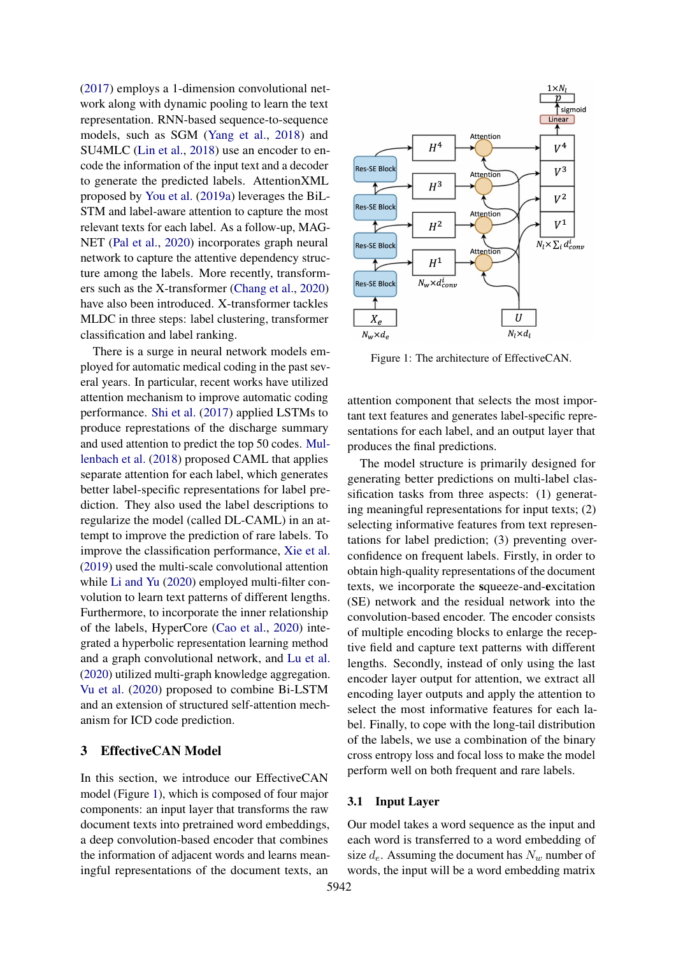[\(2017\)](#page-9-3) employs a 1-dimension convolutional network along with dynamic pooling to learn the text representation. RNN-based sequence-to-sequence models, such as SGM [\(Yang et al.,](#page-10-1) [2018\)](#page-10-1) and SU4MLC [\(Lin et al.,](#page-9-4) [2018\)](#page-9-4) use an encoder to encode the information of the input text and a decoder to generate the predicted labels. AttentionXML proposed by [You et al.](#page-10-0) [\(2019a\)](#page-10-0) leverages the BiL-STM and label-aware attention to capture the most relevant texts for each label. As a follow-up, MAG-NET [\(Pal et al.,](#page-9-5) [2020\)](#page-9-5) incorporates graph neural network to capture the attentive dependency structure among the labels. More recently, transformers such as the X-transformer [\(Chang et al.,](#page-9-1) [2020\)](#page-9-1) have also been introduced. X-transformer tackles MLDC in three steps: label clustering, transformer classification and label ranking.

There is a surge in neural network models employed for automatic medical coding in the past several years. In particular, recent works have utilized attention mechanism to improve automatic coding performance. [Shi et al.](#page-9-6) [\(2017\)](#page-9-6) applied LSTMs to produce represtations of the discharge summary and used attention to predict the top 50 codes. [Mul](#page-9-0)[lenbach et al.](#page-9-0) [\(2018\)](#page-9-0) proposed CAML that applies separate attention for each label, which generates better label-specific representations for label prediction. They also used the label descriptions to regularize the model (called DL-CAML) in an attempt to improve the prediction of rare labels. To improve the classification performance, [Xie et al.](#page-10-2) [\(2019\)](#page-10-2) used the multi-scale convolutional attention while [Li and Yu](#page-9-7) [\(2020\)](#page-9-7) employed multi-filter convolution to learn text patterns of different lengths. Furthermore, to incorporate the inner relationship of the labels, HyperCore [\(Cao et al.,](#page-9-8) [2020\)](#page-9-8) integrated a hyperbolic representation learning method and a graph convolutional network, and [Lu et al.](#page-9-9) [\(2020\)](#page-9-9) utilized multi-graph knowledge aggregation. [Vu et al.](#page-10-3) [\(2020\)](#page-10-3) proposed to combine Bi-LSTM and an extension of structured self-attention mechanism for ICD code prediction.

# 3 EffectiveCAN Model

In this section, we introduce our EffectiveCAN model (Figure [1\)](#page-1-0), which is composed of four major components: an input layer that transforms the raw document texts into pretrained word embeddings, a deep convolution-based encoder that combines the information of adjacent words and learns meaningful representations of the document texts, an

<span id="page-1-0"></span>

Figure 1: The architecture of EffectiveCAN.

attention component that selects the most important text features and generates label-specific representations for each label, and an output layer that produces the final predictions.

The model structure is primarily designed for generating better predictions on multi-label classification tasks from three aspects: (1) generating meaningful representations for input texts; (2) selecting informative features from text representations for label prediction; (3) preventing overconfidence on frequent labels. Firstly, in order to obtain high-quality representations of the document texts, we incorporate the squeeze-and-excitation (SE) network and the residual network into the convolution-based encoder. The encoder consists of multiple encoding blocks to enlarge the receptive field and capture text patterns with different lengths. Secondly, instead of only using the last encoder layer output for attention, we extract all encoding layer outputs and apply the attention to select the most informative features for each label. Finally, to cope with the long-tail distribution of the labels, we use a combination of the binary cross entropy loss and focal loss to make the model perform well on both frequent and rare labels.

# 3.1 Input Layer

Our model takes a word sequence as the input and each word is transferred to a word embedding of size  $d_e$ . Assuming the document has  $N_w$  number of words, the input will be a word embedding matrix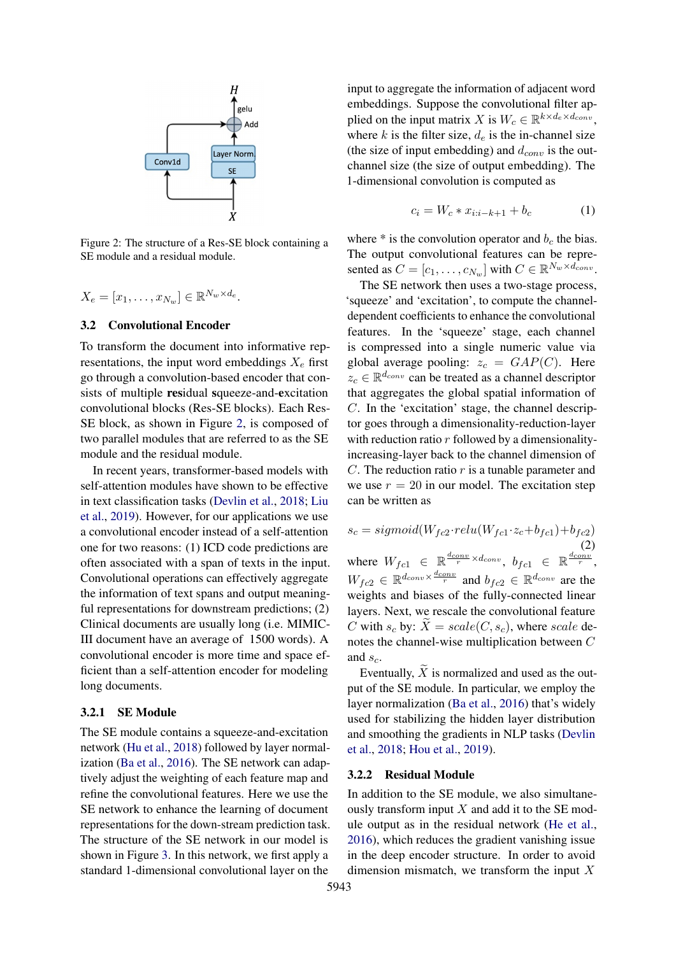<span id="page-2-0"></span>

Figure 2: The structure of a Res-SE block containing a SE module and a residual module.

$$
X_e = [x_1, \dots, x_{N_w}] \in \mathbb{R}^{N_w \times d_e}.
$$

# 3.2 Convolutional Encoder

To transform the document into informative representations, the input word embeddings  $X_e$  first go through a convolution-based encoder that consists of multiple residual squeeze-and-excitation convolutional blocks (Res-SE blocks). Each Res-SE block, as shown in Figure [2,](#page-2-0) is composed of two parallel modules that are referred to as the SE module and the residual module.

In recent years, transformer-based models with self-attention modules have shown to be effective in text classification tasks [\(Devlin et al.,](#page-9-10) [2018;](#page-9-10) [Liu](#page-9-11) [et al.,](#page-9-11) [2019\)](#page-9-11). However, for our applications we use a convolutional encoder instead of a self-attention one for two reasons: (1) ICD code predictions are often associated with a span of texts in the input. Convolutional operations can effectively aggregate the information of text spans and output meaningful representations for downstream predictions; (2) Clinical documents are usually long (i.e. MIMIC-III document have an average of 1500 words). A convolutional encoder is more time and space efficient than a self-attention encoder for modeling long documents.

### 3.2.1 SE Module

The SE module contains a squeeze-and-excitation network [\(Hu et al.,](#page-9-12) [2018\)](#page-9-12) followed by layer normalization [\(Ba et al.,](#page-8-0) [2016\)](#page-8-0). The SE network can adaptively adjust the weighting of each feature map and refine the convolutional features. Here we use the SE network to enhance the learning of document representations for the down-stream prediction task. The structure of the SE network in our model is shown in Figure [3.](#page-3-0) In this network, we first apply a standard 1-dimensional convolutional layer on the

input to aggregate the information of adjacent word embeddings. Suppose the convolutional filter applied on the input matrix X is  $W_c \in \mathbb{R}^{k \times d_e \times d_{conv}}$ , where k is the filter size,  $d_e$  is the in-channel size (the size of input embedding) and  $d_{conv}$  is the outchannel size (the size of output embedding). The 1-dimensional convolution is computed as

$$
c_i = W_c * x_{i:i-k+1} + b_c \tag{1}
$$

where  $*$  is the convolution operator and  $b_c$  the bias. The output convolutional features can be represented as  $C = [c_1, \dots, c_{N_w}]$  with  $C \in \mathbb{R}^{N_w \times d_{conv}}$ .

The SE network then uses a two-stage process, 'squeeze' and 'excitation', to compute the channeldependent coefficients to enhance the convolutional features. In the 'squeeze' stage, each channel is compressed into a single numeric value via global average pooling:  $z_c = \text{GAP}(C)$ . Here  $z_c \in \mathbb{R}^{d_{conv}}$  can be treated as a channel descriptor that aggregates the global spatial information of C. In the 'excitation' stage, the channel descriptor goes through a dimensionality-reduction-layer with reduction ratio  $r$  followed by a dimensionalityincreasing-layer back to the channel dimension of  $C$ . The reduction ratio  $r$  is a tunable parameter and we use  $r = 20$  in our model. The excitation step can be written as

$$
s_c = sigmoid(W_{fc2} \cdot relu(W_{fc1} \cdot z_c + b_{fc1}) + b_{fc2})
$$
\nwhere  $W_{fc1} \in \mathbb{R}^{\frac{d_{conv}}{r} \times d_{conv}}$ ,  $b_{fc1} \in \mathbb{R}^{\frac{d_{conv}}{r}}$ ,  $W_{fc2} \in \mathbb{R}^{d_{conv} \times \frac{d_{conv}}{r}}$  and  $b_{fc2} \in \mathbb{R}^{d_{conv}}$  are the weights and biases of the fully-connected linear layers. Next, we rescale the convolutional feature  $C$  with  $s_c$  by:  $\widetilde{X} = scale(C, s_c)$ , where scale denotes the channel-wise multiplication between  $C$  and  $s_c$ .

Eventually,  $\widetilde{X}$  is normalized and used as the output of the SE module. In particular, we employ the layer normalization [\(Ba et al.,](#page-8-0) [2016\)](#page-8-0) that's widely used for stabilizing the hidden layer distribution and smoothing the gradients in NLP tasks [\(Devlin](#page-9-10) [et al.,](#page-9-10) [2018;](#page-9-10) [Hou et al.,](#page-9-13) [2019\)](#page-9-13).

# 3.2.2 Residual Module

In addition to the SE module, we also simultaneously transform input  $X$  and add it to the SE module output as in the residual network [\(He et al.,](#page-9-14) [2016\)](#page-9-14), which reduces the gradient vanishing issue in the deep encoder structure. In order to avoid dimension mismatch, we transform the input  $X$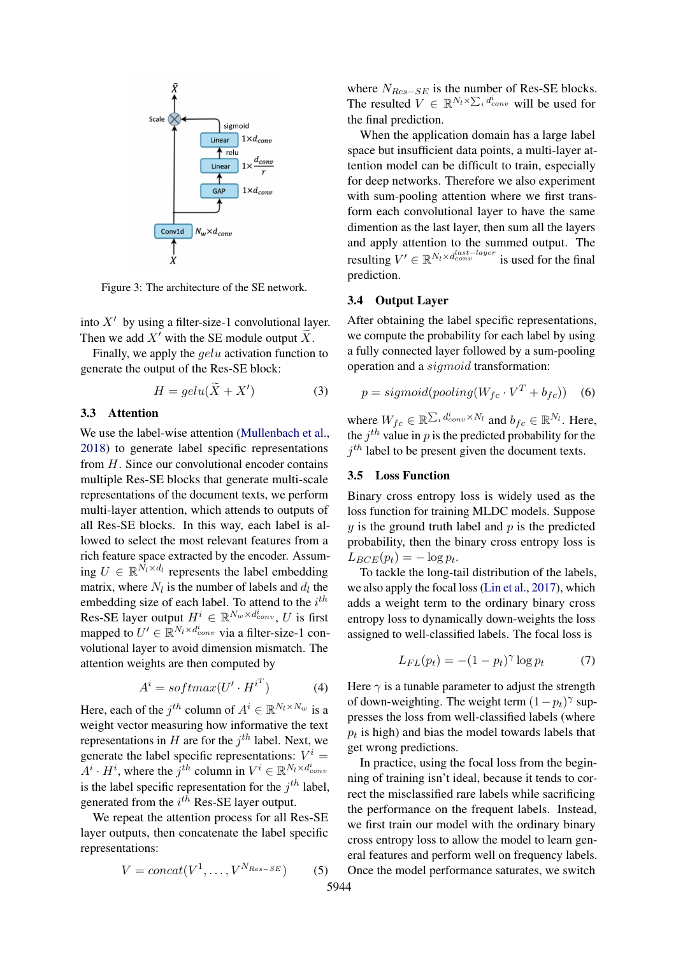<span id="page-3-0"></span>

Figure 3: The architecture of the SE network.

into  $X'$  by using a filter-size-1 convolutional layer. Then we add  $X'$  with the SE module output X.

Finally, we apply the gelu activation function to generate the output of the Res-SE block:

$$
H = gelu(\widetilde{X} + X') \tag{3}
$$

### 3.3 Attention

We use the label-wise attention [\(Mullenbach et al.,](#page-9-0) [2018\)](#page-9-0) to generate label specific representations from H. Since our convolutional encoder contains multiple Res-SE blocks that generate multi-scale representations of the document texts, we perform multi-layer attention, which attends to outputs of all Res-SE blocks. In this way, each label is allowed to select the most relevant features from a rich feature space extracted by the encoder. Assuming  $U \in \mathbb{R}^{N_l \times d_l}$  represents the label embedding matrix, where  $N_l$  is the number of labels and  $d_l$  the embedding size of each label. To attend to the  $i^{th}$ Res-SE layer output  $H^i \in \mathbb{R}^{N_w \times d^i_{conv}}$ , U is first mapped to  $U' \in \mathbb{R}^{N_l \times d_{conv}^i}$  via a filter-size-1 convolutional layer to avoid dimension mismatch. The attention weights are then computed by

$$
A^{i} = softmax(U' \cdot H^{i^{T}})
$$
 (4)

Here, each of the  $j^{th}$  column of  $A^i \in \mathbb{R}^{N_l \times N_w}$  is a weight vector measuring how informative the text representations in H are for the  $j<sup>th</sup>$  label. Next, we generate the label specific representations:  $V^i$  =  $A^i \cdot H^i$ , where the  $j^{th}$  column in  $V^i \in \mathbb{R}^{N_l \times d_{conv}^i}$ is the label specific representation for the  $j<sup>th</sup>$  label, generated from the  $i^{th}$  Res-SE layer output.

We repeat the attention process for all Res-SE layer outputs, then concatenate the label specific representations:

$$
V = concat(V^1, \dots, V^{N_{Res-SE}})
$$
 (5)

where  $N_{Res-SE}$  is the number of Res-SE blocks. The resulted  $V \in \mathbb{R}^{N_l \times \sum_i d_{conv}^i}$  will be used for the final prediction.

When the application domain has a large label space but insufficient data points, a multi-layer attention model can be difficult to train, especially for deep networks. Therefore we also experiment with sum-pooling attention where we first transform each convolutional layer to have the same dimention as the last layer, then sum all the layers and apply attention to the summed output. The resulting  $V' \in \mathbb{R}^{N_l \times d_{conv}^{last-layer}}$  is used for the final prediction.

### 3.4 Output Layer

After obtaining the label specific representations, we compute the probability for each label by using a fully connected layer followed by a sum-pooling operation and a sigmoid transformation:

$$
p = sigmoid(pooling(W_{fc} \cdot V^T + b_{fc})) \quad (6)
$$

where  $W_{fc} \in \mathbb{R}^{\sum_i d_{conv}^i \times N_l}$  and  $b_{fc} \in \mathbb{R}^{N_l}$ . Here, the  $j^{th}$  value in p is the predicted probability for the  $j<sup>th</sup>$  label to be present given the document texts.

### 3.5 Loss Function

Binary cross entropy loss is widely used as the loss function for training MLDC models. Suppose  $y$  is the ground truth label and  $p$  is the predicted probability, then the binary cross entropy loss is  $L_{BCE}(p_t) = -\log p_t.$ 

To tackle the long-tail distribution of the labels, we also apply the focal loss [\(Lin et al.,](#page-9-15) [2017\)](#page-9-15), which adds a weight term to the ordinary binary cross entropy loss to dynamically down-weights the loss assigned to well-classified labels. The focal loss is

$$
L_{FL}(p_t) = -(1 - p_t)^\gamma \log p_t \tag{7}
$$

Here  $\gamma$  is a tunable parameter to adjust the strength of down-weighting. The weight term  $(1-p_t)^\gamma$  suppresses the loss from well-classified labels (where  $p_t$  is high) and bias the model towards labels that get wrong predictions.

In practice, using the focal loss from the beginning of training isn't ideal, because it tends to correct the misclassified rare labels while sacrificing the performance on the frequent labels. Instead, we first train our model with the ordinary binary cross entropy loss to allow the model to learn general features and perform well on frequency labels. Once the model performance saturates, we switch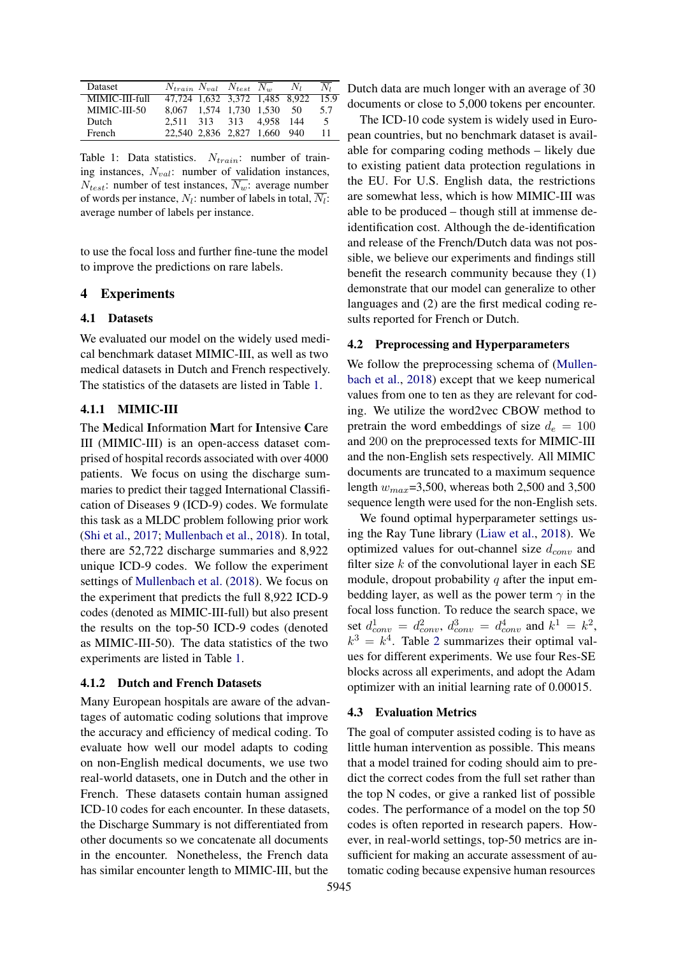<span id="page-4-0"></span>

| Dataset        | $N_{train}$ $N_{val}$ $N_{test}$ $N_w$ |  | $N_L$ | N,   |
|----------------|----------------------------------------|--|-------|------|
| MIMIC-III-full | 47,724 1,632 3,372 1,485 8,922         |  |       | 15.9 |
| MIMIC-III-50   | 8,067 1,574 1,730 1,530 50             |  |       | 5.7  |
| Dutch          | 2.511 313 313 4.958 144                |  |       | -5   |
| French         | 22,540 2,836 2,827 1,660 940           |  |       |      |

Table 1: Data statistics.  $N_{train}$ : number of training instances,  $N_{val}$ : number of validation instances,  $N_{test}$ : number of test instances,  $\overline{N_w}$ : average number of words per instance,  $N_l$ : number of labels in total,  $N_l$ : average number of labels per instance.

to use the focal loss and further fine-tune the model to improve the predictions on rare labels.

# 4 Experiments

# 4.1 Datasets

We evaluated our model on the widely used medical benchmark dataset MIMIC-III, as well as two medical datasets in Dutch and French respectively. The statistics of the datasets are listed in Table [1.](#page-4-0)

### 4.1.1 MIMIC-III

The Medical Information Mart for Intensive Care III (MIMIC-III) is an open-access dataset comprised of hospital records associated with over 4000 patients. We focus on using the discharge summaries to predict their tagged International Classification of Diseases 9 (ICD-9) codes. We formulate this task as a MLDC problem following prior work [\(Shi et al.,](#page-9-6) [2017;](#page-9-6) [Mullenbach et al.,](#page-9-0) [2018\)](#page-9-0). In total, there are 52,722 discharge summaries and 8,922 unique ICD-9 codes. We follow the experiment settings of [Mullenbach et al.](#page-9-0) [\(2018\)](#page-9-0). We focus on the experiment that predicts the full 8,922 ICD-9 codes (denoted as MIMIC-III-full) but also present the results on the top-50 ICD-9 codes (denoted as MIMIC-III-50). The data statistics of the two experiments are listed in Table [1.](#page-4-0)

### 4.1.2 Dutch and French Datasets

Many European hospitals are aware of the advantages of automatic coding solutions that improve the accuracy and efficiency of medical coding. To evaluate how well our model adapts to coding on non-English medical documents, we use two real-world datasets, one in Dutch and the other in French. These datasets contain human assigned ICD-10 codes for each encounter. In these datasets, the Discharge Summary is not differentiated from other documents so we concatenate all documents in the encounter. Nonetheless, the French data has similar encounter length to MIMIC-III, but the

Dutch data are much longer with an average of 30 documents or close to 5,000 tokens per encounter.

The ICD-10 code system is widely used in European countries, but no benchmark dataset is available for comparing coding methods – likely due to existing patient data protection regulations in the EU. For U.S. English data, the restrictions are somewhat less, which is how MIMIC-III was able to be produced – though still at immense deidentification cost. Although the de-identification and release of the French/Dutch data was not possible, we believe our experiments and findings still benefit the research community because they (1) demonstrate that our model can generalize to other languages and (2) are the first medical coding results reported for French or Dutch.

# 4.2 Preprocessing and Hyperparameters

We follow the preprocessing schema of [\(Mullen](#page-9-0)[bach et al.,](#page-9-0) [2018\)](#page-9-0) except that we keep numerical values from one to ten as they are relevant for coding. We utilize the word2vec CBOW method to pretrain the word embeddings of size  $d_e = 100$ and 200 on the preprocessed texts for MIMIC-III and the non-English sets respectively. All MIMIC documents are truncated to a maximum sequence length  $w_{max}$ =3,500, whereas both 2,500 and 3,500 sequence length were used for the non-English sets.

We found optimal hyperparameter settings using the Ray Tune library [\(Liaw et al.,](#page-9-16) [2018\)](#page-9-16). We optimized values for out-channel size  $d_{conv}$  and filter size  $k$  of the convolutional layer in each SE module, dropout probability  $q$  after the input embedding layer, as well as the power term  $\gamma$  in the focal loss function. To reduce the search space, we set  $d_{conv}^1 = d_{conv}^2$ ,  $d_{conv}^3 = d_{conv}^4$  and  $k^1 = k^2$ ,  $k^3 = k^4$ . Table [2](#page-5-0) summarizes their optimal values for different experiments. We use four Res-SE blocks across all experiments, and adopt the Adam optimizer with an initial learning rate of 0.00015.

# 4.3 Evaluation Metrics

The goal of computer assisted coding is to have as little human intervention as possible. This means that a model trained for coding should aim to predict the correct codes from the full set rather than the top N codes, or give a ranked list of possible codes. The performance of a model on the top 50 codes is often reported in research papers. However, in real-world settings, top-50 metrics are insufficient for making an accurate assessment of automatic coding because expensive human resources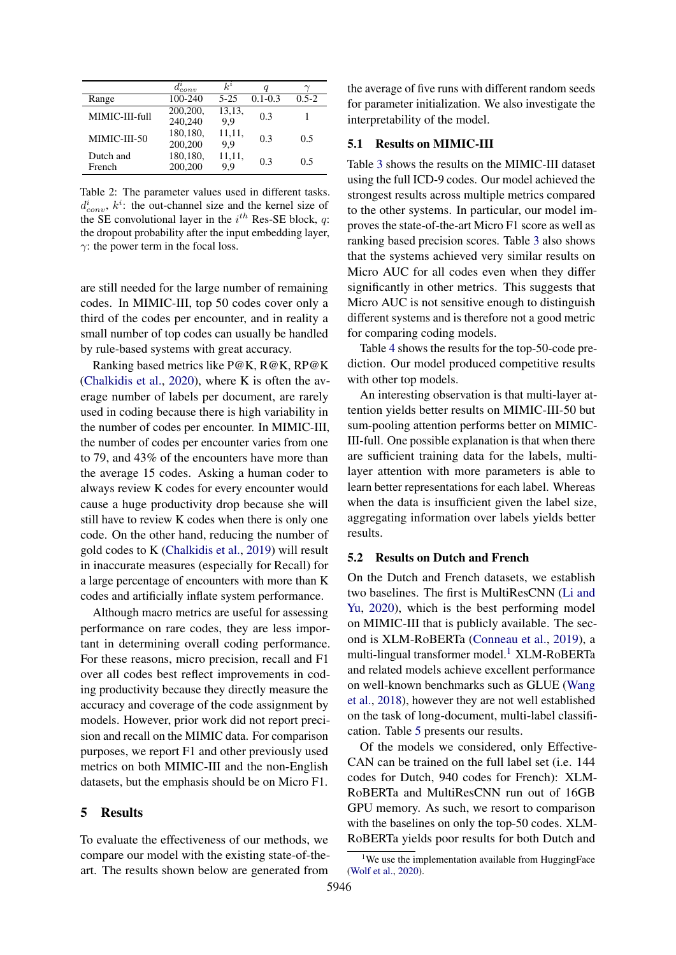<span id="page-5-0"></span>

|                | conn.    | $k^i$    | q           |           |
|----------------|----------|----------|-------------|-----------|
| Range          | 100-240  | $5 - 25$ | $0.1 - 0.3$ | $0.5 - 2$ |
| MIMIC-III-full | 200,200, | 13,13,   | 0.3         |           |
|                | 240,240  | 9.9      |             |           |
| MIMIC-III-50   | 180,180, | 11,11,   | 0.3         | 0.5       |
|                | 200,200  | 9.9      |             |           |
| Dutch and      | 180,180, | 11,11,   | 0.3         | 0.5       |
| French         | 200,200  | 9.9      |             |           |

Table 2: The parameter values used in different tasks.  $d_{conv}^i$ ,  $k^i$ : the out-channel size and the kernel size of the SE convolutional layer in the  $i^{th}$  Res-SE block, q: the dropout probability after the input embedding layer,  $\gamma$ : the power term in the focal loss.

are still needed for the large number of remaining codes. In MIMIC-III, top 50 codes cover only a third of the codes per encounter, and in reality a small number of top codes can usually be handled by rule-based systems with great accuracy.

Ranking based metrics like P@K, R@K, RP@K [\(Chalkidis et al.,](#page-9-17) [2020\)](#page-9-17), where K is often the average number of labels per document, are rarely used in coding because there is high variability in the number of codes per encounter. In MIMIC-III, the number of codes per encounter varies from one to 79, and 43% of the encounters have more than the average 15 codes. Asking a human coder to always review K codes for every encounter would cause a huge productivity drop because she will still have to review K codes when there is only one code. On the other hand, reducing the number of gold codes to K [\(Chalkidis et al.,](#page-9-18) [2019\)](#page-9-18) will result in inaccurate measures (especially for Recall) for a large percentage of encounters with more than K codes and artificially inflate system performance.

Although macro metrics are useful for assessing performance on rare codes, they are less important in determining overall coding performance. For these reasons, micro precision, recall and F1 over all codes best reflect improvements in coding productivity because they directly measure the accuracy and coverage of the code assignment by models. However, prior work did not report precision and recall on the MIMIC data. For comparison purposes, we report F1 and other previously used metrics on both MIMIC-III and the non-English datasets, but the emphasis should be on Micro F1.

# 5 Results

To evaluate the effectiveness of our methods, we compare our model with the existing state-of-theart. The results shown below are generated from the average of five runs with different random seeds for parameter initialization. We also investigate the interpretability of the model.

### 5.1 Results on MIMIC-III

Table [3](#page-6-0) shows the results on the MIMIC-III dataset using the full ICD-9 codes. Our model achieved the strongest results across multiple metrics compared to the other systems. In particular, our model improves the state-of-the-art Micro F1 score as well as ranking based precision scores. Table [3](#page-6-0) also shows that the systems achieved very similar results on Micro AUC for all codes even when they differ significantly in other metrics. This suggests that Micro AUC is not sensitive enough to distinguish different systems and is therefore not a good metric for comparing coding models.

Table [4](#page-6-1) shows the results for the top-50-code prediction. Our model produced competitive results with other top models.

An interesting observation is that multi-layer attention yields better results on MIMIC-III-50 but sum-pooling attention performs better on MIMIC-III-full. One possible explanation is that when there are sufficient training data for the labels, multilayer attention with more parameters is able to learn better representations for each label. Whereas when the data is insufficient given the label size, aggregating information over labels yields better results.

### 5.2 Results on Dutch and French

On the Dutch and French datasets, we establish two baselines. The first is MultiResCNN [\(Li and](#page-9-7) [Yu,](#page-9-7) [2020\)](#page-9-7), which is the best performing model on MIMIC-III that is publicly available. The second is XLM-RoBERTa [\(Conneau et al.,](#page-9-19) [2019\)](#page-9-19), a multi-lingual transformer model.<sup>[1](#page-5-1)</sup> XLM-RoBERTa and related models achieve excellent performance on well-known benchmarks such as GLUE [\(Wang](#page-10-4) [et al.,](#page-10-4) [2018\)](#page-10-4), however they are not well established on the task of long-document, multi-label classification. Table [5](#page-7-0) presents our results.

Of the models we considered, only Effective-CAN can be trained on the full label set (i.e. 144 codes for Dutch, 940 codes for French): XLM-RoBERTa and MultiResCNN run out of 16GB GPU memory. As such, we resort to comparison with the baselines on only the top-50 codes. XLM-RoBERTa yields poor results for both Dutch and

<span id="page-5-1"></span><sup>&</sup>lt;sup>1</sup>We use the implementation available from HuggingFace [\(Wolf et al.,](#page-10-5) [2020\)](#page-10-5).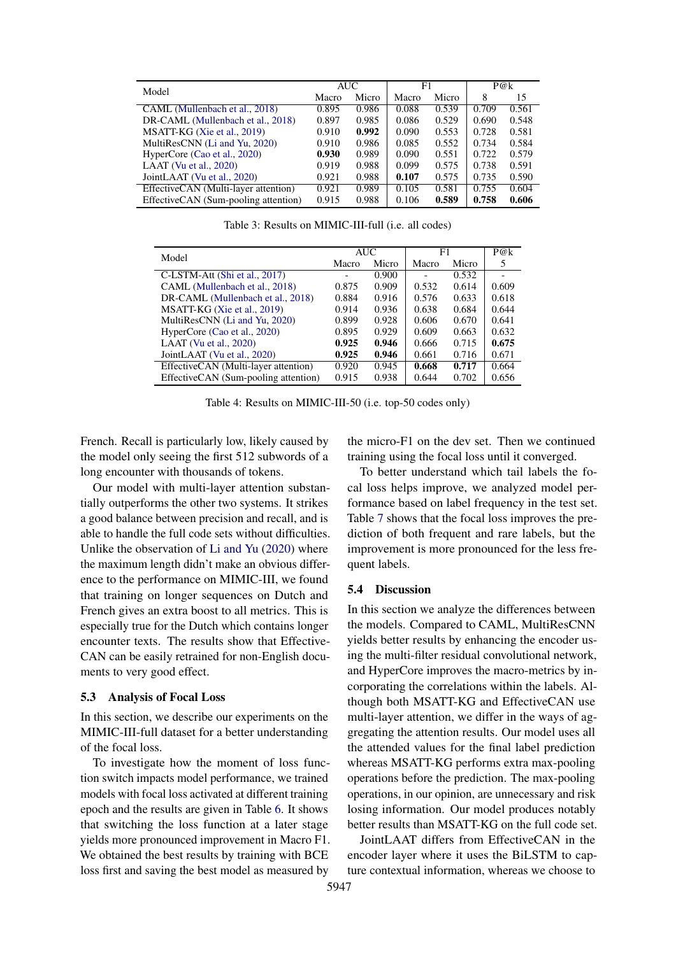<span id="page-6-0"></span>

| Model                                |       | <b>AUC</b> | F1    |       | P@k   |       |
|--------------------------------------|-------|------------|-------|-------|-------|-------|
|                                      | Macro | Micro      | Macro | Micro | 8     | 15    |
| CAML (Mullenbach et al., 2018)       | 0.895 | 0.986      | 0.088 | 0.539 | 0.709 | 0.561 |
| DR-CAML (Mullenbach et al., 2018)    | 0.897 | 0.985      | 0.086 | 0.529 | 0.690 | 0.548 |
| MSATT-KG (Xie et al., 2019)          | 0.910 | 0.992      | 0.090 | 0.553 | 0.728 | 0.581 |
| MultiResCNN (Li and Yu, 2020)        | 0.910 | 0.986      | 0.085 | 0.552 | 0.734 | 0.584 |
| HyperCore (Cao et al., 2020)         | 0.930 | 0.989      | 0.090 | 0.551 | 0.722 | 0.579 |
| LAAT (Vu et al., $2020$ )            | 0.919 | 0.988      | 0.099 | 0.575 | 0.738 | 0.591 |
| JointLAAT (Vu et al., 2020)          | 0.921 | 0.988      | 0.107 | 0.575 | 0.735 | 0.590 |
| EffectiveCAN (Multi-layer attention) | 0.921 | 0.989      | 0.105 | 0.581 | 0.755 | 0.604 |
| EffectiveCAN (Sum-pooling attention) | 0.915 | 0.988      | 0.106 | 0.589 | 0.758 | 0.606 |

Table 3: Results on MIMIC-III-full (i.e. all codes)

<span id="page-6-1"></span>

| Model                                | <b>AUC</b> |       | F1    |       | P@k   |
|--------------------------------------|------------|-------|-------|-------|-------|
|                                      | Macro      | Micro | Macro | Micro | 5     |
| C-LSTM-Att (Shi et al., 2017)        |            | 0.900 |       | 0.532 |       |
| CAML (Mullenbach et al., 2018)       | 0.875      | 0.909 | 0.532 | 0.614 | 0.609 |
| DR-CAML (Mullenbach et al., 2018)    | 0.884      | 0.916 | 0.576 | 0.633 | 0.618 |
| MSATT-KG (Xie et al., 2019)          | 0.914      | 0.936 | 0.638 | 0.684 | 0.644 |
| MultiResCNN (Li and Yu, 2020)        | 0.899      | 0.928 | 0.606 | 0.670 | 0.641 |
| HyperCore (Cao et al., 2020)         | 0.895      | 0.929 | 0.609 | 0.663 | 0.632 |
| LAAT (Vu et al., 2020)               | 0.925      | 0.946 | 0.666 | 0.715 | 0.675 |
| JointLAAT (Vu et al., 2020)          | 0.925      | 0.946 | 0.661 | 0.716 | 0.671 |
| EffectiveCAN (Multi-layer attention) | 0.920      | 0.945 | 0.668 | 0.717 | 0.664 |
| EffectiveCAN (Sum-pooling attention) | 0.915      | 0.938 | 0.644 | 0.702 | 0.656 |

Table 4: Results on MIMIC-III-50 (i.e. top-50 codes only)

French. Recall is particularly low, likely caused by the model only seeing the first 512 subwords of a long encounter with thousands of tokens.

Our model with multi-layer attention substantially outperforms the other two systems. It strikes a good balance between precision and recall, and is able to handle the full code sets without difficulties. Unlike the observation of [Li and Yu](#page-9-7) [\(2020\)](#page-9-7) where the maximum length didn't make an obvious difference to the performance on MIMIC-III, we found that training on longer sequences on Dutch and French gives an extra boost to all metrics. This is especially true for the Dutch which contains longer encounter texts. The results show that Effective-CAN can be easily retrained for non-English documents to very good effect.

### 5.3 Analysis of Focal Loss

In this section, we describe our experiments on the MIMIC-III-full dataset for a better understanding of the focal loss.

To investigate how the moment of loss function switch impacts model performance, we trained models with focal loss activated at different training epoch and the results are given in Table [6.](#page-7-1) It shows that switching the loss function at a later stage yields more pronounced improvement in Macro F1. We obtained the best results by training with BCE loss first and saving the best model as measured by

the micro-F1 on the dev set. Then we continued training using the focal loss until it converged.

To better understand which tail labels the focal loss helps improve, we analyzed model performance based on label frequency in the test set. Table [7](#page-7-2) shows that the focal loss improves the prediction of both frequent and rare labels, but the improvement is more pronounced for the less frequent labels.

### 5.4 Discussion

In this section we analyze the differences between the models. Compared to CAML, MultiResCNN yields better results by enhancing the encoder using the multi-filter residual convolutional network, and HyperCore improves the macro-metrics by incorporating the correlations within the labels. Although both MSATT-KG and EffectiveCAN use multi-layer attention, we differ in the ways of aggregating the attention results. Our model uses all the attended values for the final label prediction whereas MSATT-KG performs extra max-pooling operations before the prediction. The max-pooling operations, in our opinion, are unnecessary and risk losing information. Our model produces notably better results than MSATT-KG on the full code set.

JointLAAT differs from EffectiveCAN in the encoder layer where it uses the BiLSTM to capture contextual information, whereas we choose to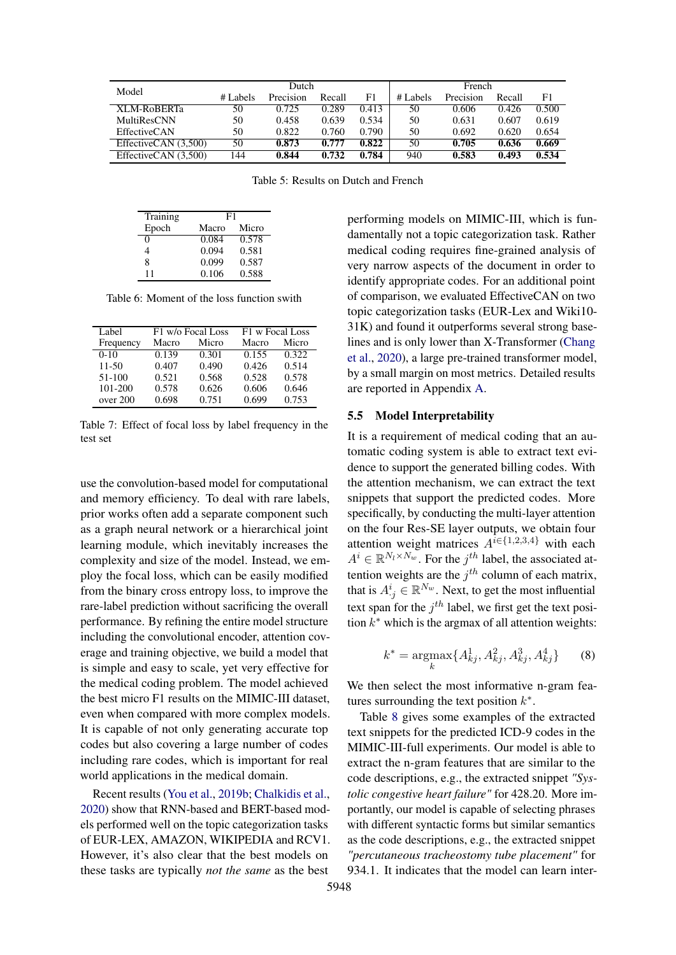<span id="page-7-0"></span>

| Model                |            | Dutch     |        |       |            | French    |        |       |
|----------------------|------------|-----------|--------|-------|------------|-----------|--------|-------|
|                      | $#$ Labels | Precision | Recall | F1    | $#$ Labels | Precision | Recall | F1    |
| XLM-RoBERTa          | 50         | 0.725     | 0.289  | 0.413 | 50         | 0.606     | 0.426  | 0.500 |
| <b>MultiResCNN</b>   | 50         | 0.458     | 0.639  | 0.534 | 50         | 0.631     | 0.607  | 0.619 |
| EffectiveCAN         | 50         | 0.822     | 0.760  | 0.790 | 50         | 0.692     | 0.620  | 0.654 |
| EffectiveCAN (3,500) | 50         | 0.873     | 0.777  | 0.822 | 50         | 0.705     | 0.636  | 0.669 |
| EffectiveCAN (3,500) | 144        | 0.844     | 0.732  | 0.784 | 940        | 0.583     | 0.493  | 0.534 |

Table 5: Results on Dutch and French

<span id="page-7-1"></span>

| Training | F1    |       |
|----------|-------|-------|
| Epoch    | Macro | Micro |
| 0        | 0.084 | 0.578 |
| 4        | 0.094 | 0.581 |
| 8        | 0.099 | 0.587 |
| 11       | 0.106 | 0.588 |

Table 6: Moment of the loss function swith

<span id="page-7-2"></span>

| Label     |       | F1 w/o Focal Loss | F1 w Focal Loss |       |
|-----------|-------|-------------------|-----------------|-------|
| Frequency | Macro | Micro             | Macro           | Micro |
| $0-10$    | 0.139 | 0.301             | 0.155           | 0.322 |
| $11-50$   | 0.407 | 0.490             | 0.426           | 0.514 |
| 51-100    | 0.521 | 0.568             | 0.528           | 0.578 |
| 101-200   | 0.578 | 0.626             | 0.606           | 0.646 |
| over 200  | 0.698 | 0.751             | 0.699           | 0.753 |

Table 7: Effect of focal loss by label frequency in the test set

use the convolution-based model for computational and memory efficiency. To deal with rare labels, prior works often add a separate component such as a graph neural network or a hierarchical joint learning module, which inevitably increases the complexity and size of the model. Instead, we employ the focal loss, which can be easily modified from the binary cross entropy loss, to improve the rare-label prediction without sacrificing the overall performance. By refining the entire model structure including the convolutional encoder, attention coverage and training objective, we build a model that is simple and easy to scale, yet very effective for the medical coding problem. The model achieved the best micro F1 results on the MIMIC-III dataset, even when compared with more complex models. It is capable of not only generating accurate top codes but also covering a large number of codes including rare codes, which is important for real world applications in the medical domain.

Recent results [\(You et al.,](#page-10-6) [2019b;](#page-10-6) [Chalkidis et al.,](#page-9-17) [2020\)](#page-9-17) show that RNN-based and BERT-based models performed well on the topic categorization tasks of EUR-LEX, AMAZON, WIKIPEDIA and RCV1. However, it's also clear that the best models on these tasks are typically *not the same* as the best

performing models on MIMIC-III, which is fundamentally not a topic categorization task. Rather medical coding requires fine-grained analysis of very narrow aspects of the document in order to identify appropriate codes. For an additional point of comparison, we evaluated EffectiveCAN on two topic categorization tasks (EUR-Lex and Wiki10- 31K) and found it outperforms several strong baselines and is only lower than X-Transformer [\(Chang](#page-9-1) [et al.,](#page-9-1) [2020\)](#page-9-1), a large pre-trained transformer model, by a small margin on most metrics. Detailed results are reported in Appendix [A.](#page-11-0)

#### 5.5 Model Interpretability

It is a requirement of medical coding that an automatic coding system is able to extract text evidence to support the generated billing codes. With the attention mechanism, we can extract the text snippets that support the predicted codes. More specifically, by conducting the multi-layer attention on the four Res-SE layer outputs, we obtain four attention weight matrices  $A^{i\in\{1,2,3,4\}}$  with each  $A^i \in \mathbb{R}^{N_l \times N_w}$ . For the  $j^{th}$  label, the associated attention weights are the  $j<sup>th</sup>$  column of each matrix, that is  $A^i_j \in \mathbb{R}^{N_w}$ . Next, to get the most influential text span for the  $j<sup>th</sup>$  label, we first get the text position  $k^*$  which is the argmax of all attention weights:

$$
k^* = \underset{k}{\text{argmax}} \{ A_{kj}^1, A_{kj}^2, A_{kj}^3, A_{kj}^4 \} \qquad (8)
$$

We then select the most informative n-gram features surrounding the text position  $k^*$ .

Table [8](#page-8-1) gives some examples of the extracted text snippets for the predicted ICD-9 codes in the MIMIC-III-full experiments. Our model is able to extract the n-gram features that are similar to the code descriptions, e.g., the extracted snippet *"Systolic congestive heart failure"* for 428.20. More importantly, our model is capable of selecting phrases with different syntactic forms but similar semantics as the code descriptions, e.g., the extracted snippet *"percutaneous tracheostomy tube placement"* for 934.1. It indicates that the model can learn inter-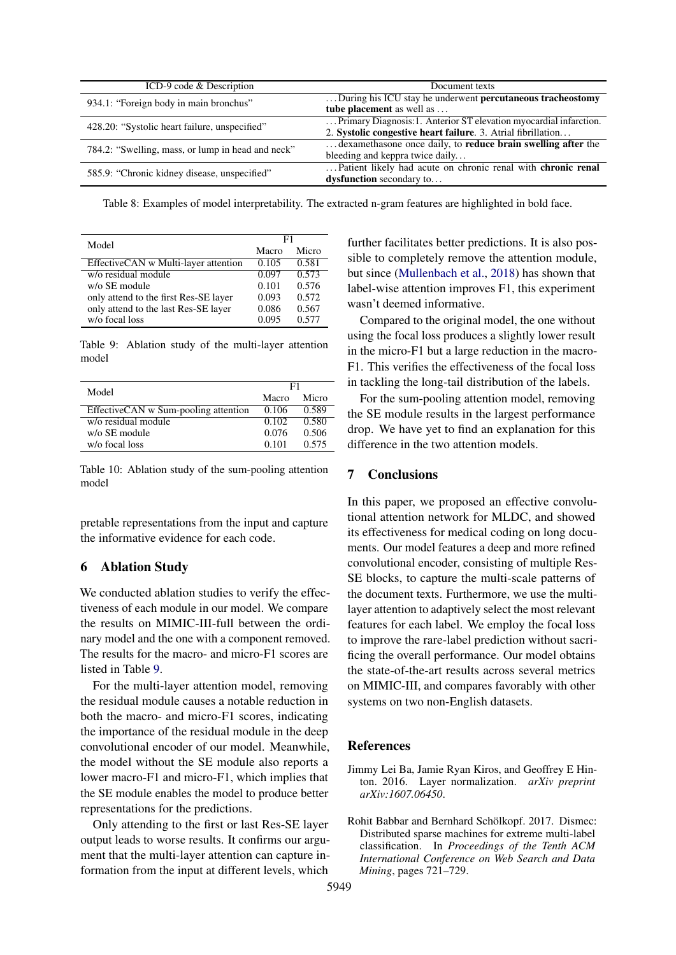<span id="page-8-1"></span>

| ICD-9 code $\&$ Description                       | Document texts                                                     |
|---------------------------------------------------|--------------------------------------------------------------------|
| 934.1: "Foreign body in main bronchus"            | During his ICU stay he underwent percutaneous tracheostomy         |
|                                                   | tube placement as well as                                          |
| 428.20: "Systolic heart failure, unspecified"     | Primary Diagnosis: 1. Anterior ST elevation myocardial infarction. |
|                                                   | 2. Systolic congestive heart failure. 3. Atrial fibrillation       |
| 784.2: "Swelling, mass, or lump in head and neck" | dexamethasone once daily, to reduce brain swelling after the       |
|                                                   | bleeding and keppra twice daily                                    |
|                                                   | Patient likely had acute on chronic renal with chronic renal       |
| 585.9: "Chronic kidney disease, unspecified"      | dysfunction secondary to                                           |

Table 8: Examples of model interpretability. The extracted n-gram features are highlighted in bold face.

<span id="page-8-2"></span>

| Model                                 | F1    |       |  |
|---------------------------------------|-------|-------|--|
|                                       | Macro | Micro |  |
| EffectiveCAN w Multi-layer attention  | 0.105 | 0.581 |  |
| w/o residual module                   | 0.097 | 0.573 |  |
| w/o SE module                         | 0.101 | 0.576 |  |
| only attend to the first Res-SE layer | 0.093 | 0.572 |  |
| only attend to the last Res-SE layer  | 0.086 | 0.567 |  |
| w/o focal loss                        | 0.095 | 0.577 |  |

Table 9: Ablation study of the multi-layer attention model

| Model                                | F1    |       |  |
|--------------------------------------|-------|-------|--|
|                                      | Macro | Micro |  |
| EffectiveCAN w Sum-pooling attention | 0.106 | 0.589 |  |
| w/o residual module                  | 0.102 | 0.580 |  |
| w/o SE module                        | 0.076 | 0.506 |  |
| w/o focal loss                       | 0.101 | 0.575 |  |

Table 10: Ablation study of the sum-pooling attention model

pretable representations from the input and capture the informative evidence for each code.

# 6 Ablation Study

We conducted ablation studies to verify the effectiveness of each module in our model. We compare the results on MIMIC-III-full between the ordinary model and the one with a component removed. The results for the macro- and micro-F1 scores are listed in Table [9.](#page-8-2)

For the multi-layer attention model, removing the residual module causes a notable reduction in both the macro- and micro-F1 scores, indicating the importance of the residual module in the deep convolutional encoder of our model. Meanwhile, the model without the SE module also reports a lower macro-F1 and micro-F1, which implies that the SE module enables the model to produce better representations for the predictions.

Only attending to the first or last Res-SE layer output leads to worse results. It confirms our argument that the multi-layer attention can capture information from the input at different levels, which

further facilitates better predictions. It is also possible to completely remove the attention module, but since [\(Mullenbach et al.,](#page-9-0) [2018\)](#page-9-0) has shown that label-wise attention improves F1, this experiment wasn't deemed informative.

Compared to the original model, the one without using the focal loss produces a slightly lower result in the micro-F1 but a large reduction in the macro-F1. This verifies the effectiveness of the focal loss in tackling the long-tail distribution of the labels.

For the sum-pooling attention model, removing the SE module results in the largest performance drop. We have yet to find an explanation for this difference in the two attention models.

# 7 Conclusions

In this paper, we proposed an effective convolutional attention network for MLDC, and showed its effectiveness for medical coding on long documents. Our model features a deep and more refined convolutional encoder, consisting of multiple Res-SE blocks, to capture the multi-scale patterns of the document texts. Furthermore, we use the multilayer attention to adaptively select the most relevant features for each label. We employ the focal loss to improve the rare-label prediction without sacrificing the overall performance. Our model obtains the state-of-the-art results across several metrics on MIMIC-III, and compares favorably with other systems on two non-English datasets.

### **References**

- <span id="page-8-0"></span>Jimmy Lei Ba, Jamie Ryan Kiros, and Geoffrey E Hinton. 2016. Layer normalization. *arXiv preprint arXiv:1607.06450*.
- <span id="page-8-3"></span>Rohit Babbar and Bernhard Schölkopf. 2017. Dismec: Distributed sparse machines for extreme multi-label classification. In *Proceedings of the Tenth ACM International Conference on Web Search and Data Mining*, pages 721–729.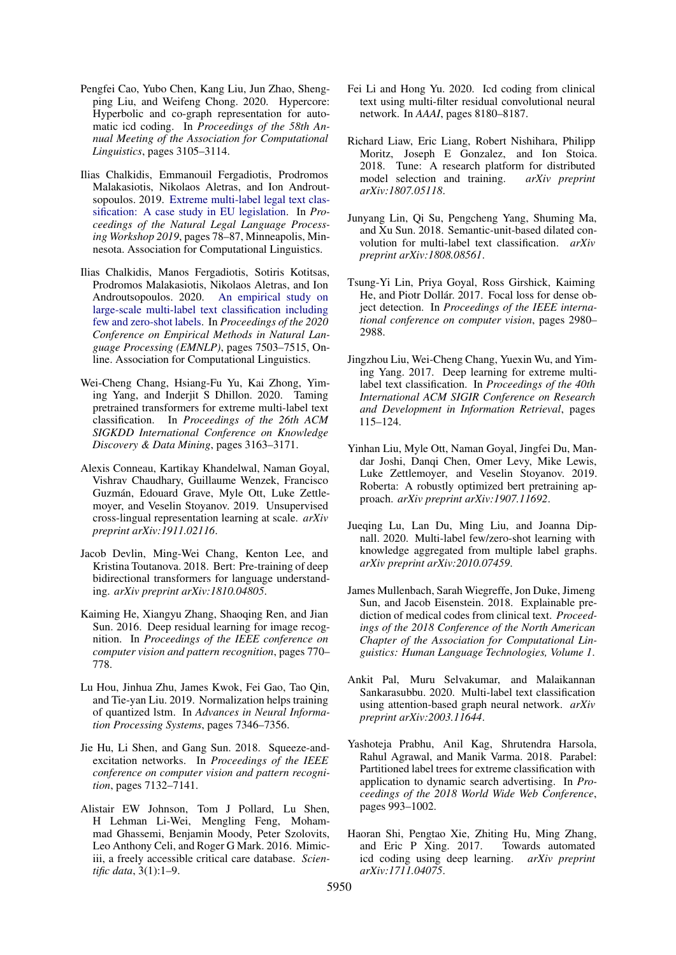- <span id="page-9-8"></span>Pengfei Cao, Yubo Chen, Kang Liu, Jun Zhao, Shengping Liu, and Weifeng Chong. 2020. Hypercore: Hyperbolic and co-graph representation for automatic icd coding. In *Proceedings of the 58th Annual Meeting of the Association for Computational Linguistics*, pages 3105–3114.
- <span id="page-9-18"></span>Ilias Chalkidis, Emmanouil Fergadiotis, Prodromos Malakasiotis, Nikolaos Aletras, and Ion Androutsopoulos. 2019. [Extreme multi-label legal text clas](https://doi.org/10.18653/v1/W19-2209)[sification: A case study in EU legislation.](https://doi.org/10.18653/v1/W19-2209) In *Proceedings of the Natural Legal Language Processing Workshop 2019*, pages 78–87, Minneapolis, Minnesota. Association for Computational Linguistics.
- <span id="page-9-17"></span>Ilias Chalkidis, Manos Fergadiotis, Sotiris Kotitsas, Prodromos Malakasiotis, Nikolaos Aletras, and Ion Androutsopoulos. 2020. [An empirical study on](https://doi.org/10.18653/v1/2020.emnlp-main.607) [large-scale multi-label text classification including](https://doi.org/10.18653/v1/2020.emnlp-main.607) [few and zero-shot labels.](https://doi.org/10.18653/v1/2020.emnlp-main.607) In *Proceedings of the 2020 Conference on Empirical Methods in Natural Language Processing (EMNLP)*, pages 7503–7515, Online. Association for Computational Linguistics.
- <span id="page-9-1"></span>Wei-Cheng Chang, Hsiang-Fu Yu, Kai Zhong, Yiming Yang, and Inderjit S Dhillon. 2020. Taming pretrained transformers for extreme multi-label text classification. In *Proceedings of the 26th ACM SIGKDD International Conference on Knowledge Discovery & Data Mining*, pages 3163–3171.
- <span id="page-9-19"></span>Alexis Conneau, Kartikay Khandelwal, Naman Goyal, Vishrav Chaudhary, Guillaume Wenzek, Francisco Guzmán, Edouard Grave, Myle Ott, Luke Zettlemoyer, and Veselin Stoyanov. 2019. Unsupervised cross-lingual representation learning at scale. *arXiv preprint arXiv:1911.02116*.
- <span id="page-9-10"></span>Jacob Devlin, Ming-Wei Chang, Kenton Lee, and Kristina Toutanova. 2018. Bert: Pre-training of deep bidirectional transformers for language understanding. *arXiv preprint arXiv:1810.04805*.
- <span id="page-9-14"></span>Kaiming He, Xiangyu Zhang, Shaoqing Ren, and Jian Sun. 2016. Deep residual learning for image recognition. In *Proceedings of the IEEE conference on computer vision and pattern recognition*, pages 770– 778.
- <span id="page-9-13"></span>Lu Hou, Jinhua Zhu, James Kwok, Fei Gao, Tao Qin, and Tie-yan Liu. 2019. Normalization helps training of quantized lstm. In *Advances in Neural Information Processing Systems*, pages 7346–7356.
- <span id="page-9-12"></span>Jie Hu, Li Shen, and Gang Sun. 2018. Squeeze-andexcitation networks. In *Proceedings of the IEEE conference on computer vision and pattern recognition*, pages 7132–7141.
- <span id="page-9-2"></span>Alistair EW Johnson, Tom J Pollard, Lu Shen, H Lehman Li-Wei, Mengling Feng, Mohammad Ghassemi, Benjamin Moody, Peter Szolovits, Leo Anthony Celi, and Roger G Mark. 2016. Mimiciii, a freely accessible critical care database. *Scientific data*, 3(1):1–9.
- <span id="page-9-7"></span>Fei Li and Hong Yu. 2020. Icd coding from clinical text using multi-filter residual convolutional neural network. In *AAAI*, pages 8180–8187.
- <span id="page-9-16"></span>Richard Liaw, Eric Liang, Robert Nishihara, Philipp Moritz, Joseph E Gonzalez, and Ion Stoica. 2018. Tune: A research platform for distributed model selection and training. *arXiv preprint arXiv:1807.05118*.
- <span id="page-9-4"></span>Junyang Lin, Qi Su, Pengcheng Yang, Shuming Ma, and Xu Sun. 2018. Semantic-unit-based dilated convolution for multi-label text classification. *arXiv preprint arXiv:1808.08561*.
- <span id="page-9-15"></span>Tsung-Yi Lin, Priya Goyal, Ross Girshick, Kaiming He, and Piotr Dollár. 2017. Focal loss for dense object detection. In *Proceedings of the IEEE international conference on computer vision*, pages 2980– 2988.
- <span id="page-9-3"></span>Jingzhou Liu, Wei-Cheng Chang, Yuexin Wu, and Yiming Yang. 2017. Deep learning for extreme multilabel text classification. In *Proceedings of the 40th International ACM SIGIR Conference on Research and Development in Information Retrieval*, pages 115–124.
- <span id="page-9-11"></span>Yinhan Liu, Myle Ott, Naman Goyal, Jingfei Du, Mandar Joshi, Danqi Chen, Omer Levy, Mike Lewis, Luke Zettlemoyer, and Veselin Stoyanov. 2019. Roberta: A robustly optimized bert pretraining approach. *arXiv preprint arXiv:1907.11692*.
- <span id="page-9-9"></span>Jueqing Lu, Lan Du, Ming Liu, and Joanna Dipnall. 2020. Multi-label few/zero-shot learning with knowledge aggregated from multiple label graphs. *arXiv preprint arXiv:2010.07459*.
- <span id="page-9-0"></span>James Mullenbach, Sarah Wiegreffe, Jon Duke, Jimeng Sun, and Jacob Eisenstein. 2018. Explainable prediction of medical codes from clinical text. *Proceedings of the 2018 Conference of the North American Chapter of the Association for Computational Linguistics: Human Language Technologies, Volume 1*.
- <span id="page-9-5"></span>Ankit Pal, Muru Selvakumar, and Malaikannan Sankarasubbu. 2020. Multi-label text classification using attention-based graph neural network. *arXiv preprint arXiv:2003.11644*.
- <span id="page-9-20"></span>Yashoteja Prabhu, Anil Kag, Shrutendra Harsola, Rahul Agrawal, and Manik Varma. 2018. Parabel: Partitioned label trees for extreme classification with application to dynamic search advertising. In *Proceedings of the 2018 World Wide Web Conference*, pages 993–1002.
- <span id="page-9-6"></span>Haoran Shi, Pengtao Xie, Zhiting Hu, Ming Zhang, and Eric P Xing. 2017. Towards automated icd coding using deep learning. *arXiv preprint arXiv:1711.04075*.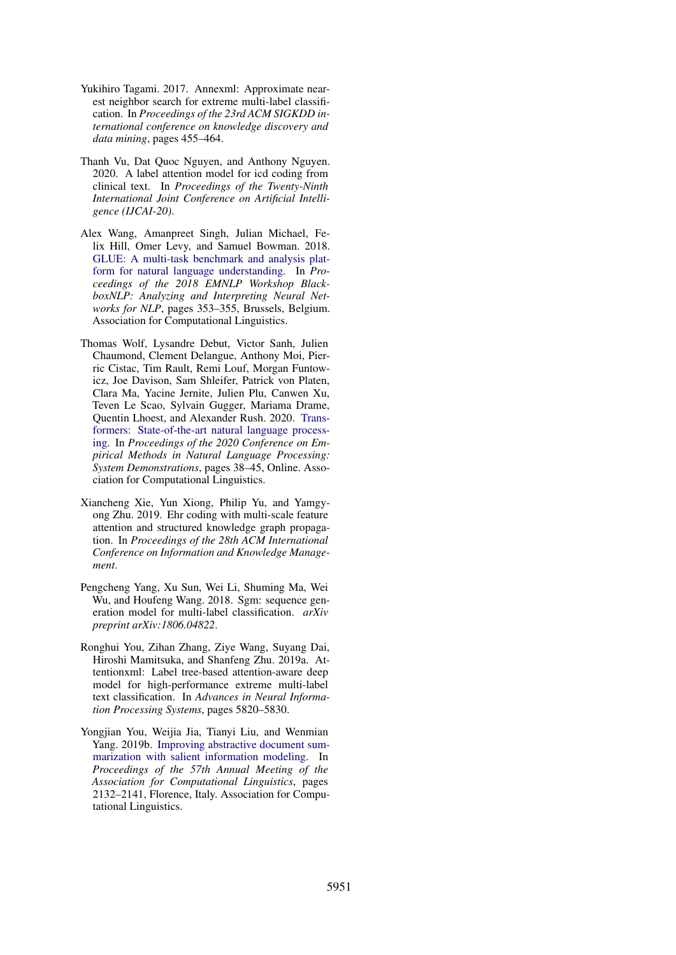- <span id="page-10-7"></span>Yukihiro Tagami. 2017. Annexml: Approximate nearest neighbor search for extreme multi-label classification. In *Proceedings of the 23rd ACM SIGKDD international conference on knowledge discovery and data mining*, pages 455–464.
- <span id="page-10-3"></span>Thanh Vu, Dat Quoc Nguyen, and Anthony Nguyen. 2020. A label attention model for icd coding from clinical text. In *Proceedings of the Twenty-Ninth International Joint Conference on Artificial Intelligence (IJCAI-20)*.
- <span id="page-10-4"></span>Alex Wang, Amanpreet Singh, Julian Michael, Felix Hill, Omer Levy, and Samuel Bowman. 2018. [GLUE: A multi-task benchmark and analysis plat](https://doi.org/10.18653/v1/W18-5446)[form for natural language understanding.](https://doi.org/10.18653/v1/W18-5446) In *Proceedings of the 2018 EMNLP Workshop BlackboxNLP: Analyzing and Interpreting Neural Networks for NLP*, pages 353–355, Brussels, Belgium. Association for Computational Linguistics.
- <span id="page-10-5"></span>Thomas Wolf, Lysandre Debut, Victor Sanh, Julien Chaumond, Clement Delangue, Anthony Moi, Pierric Cistac, Tim Rault, Remi Louf, Morgan Funtowicz, Joe Davison, Sam Shleifer, Patrick von Platen, Clara Ma, Yacine Jernite, Julien Plu, Canwen Xu, Teven Le Scao, Sylvain Gugger, Mariama Drame, Quentin Lhoest, and Alexander Rush. 2020. [Trans](https://doi.org/10.18653/v1/2020.emnlp-demos.6)[formers: State-of-the-art natural language process](https://doi.org/10.18653/v1/2020.emnlp-demos.6)[ing.](https://doi.org/10.18653/v1/2020.emnlp-demos.6) In *Proceedings of the 2020 Conference on Empirical Methods in Natural Language Processing: System Demonstrations*, pages 38–45, Online. Association for Computational Linguistics.
- <span id="page-10-2"></span>Xiancheng Xie, Yun Xiong, Philip Yu, and Yamgyong Zhu. 2019. Ehr coding with multi-scale feature attention and structured knowledge graph propagation. In *Proceedings of the 28th ACM International Conference on Information and Knowledge Management*.
- <span id="page-10-1"></span>Pengcheng Yang, Xu Sun, Wei Li, Shuming Ma, Wei Wu, and Houfeng Wang. 2018. Sgm: sequence generation model for multi-label classification. *arXiv preprint arXiv:1806.04822*.
- <span id="page-10-0"></span>Ronghui You, Zihan Zhang, Ziye Wang, Suyang Dai, Hiroshi Mamitsuka, and Shanfeng Zhu. 2019a. Attentionxml: Label tree-based attention-aware deep model for high-performance extreme multi-label text classification. In *Advances in Neural Information Processing Systems*, pages 5820–5830.
- <span id="page-10-6"></span>Yongjian You, Weijia Jia, Tianyi Liu, and Wenmian Yang. 2019b. [Improving abstractive document sum](https://doi.org/10.18653/v1/P19-1205)[marization with salient information modeling.](https://doi.org/10.18653/v1/P19-1205) In *Proceedings of the 57th Annual Meeting of the Association for Computational Linguistics*, pages 2132–2141, Florence, Italy. Association for Computational Linguistics.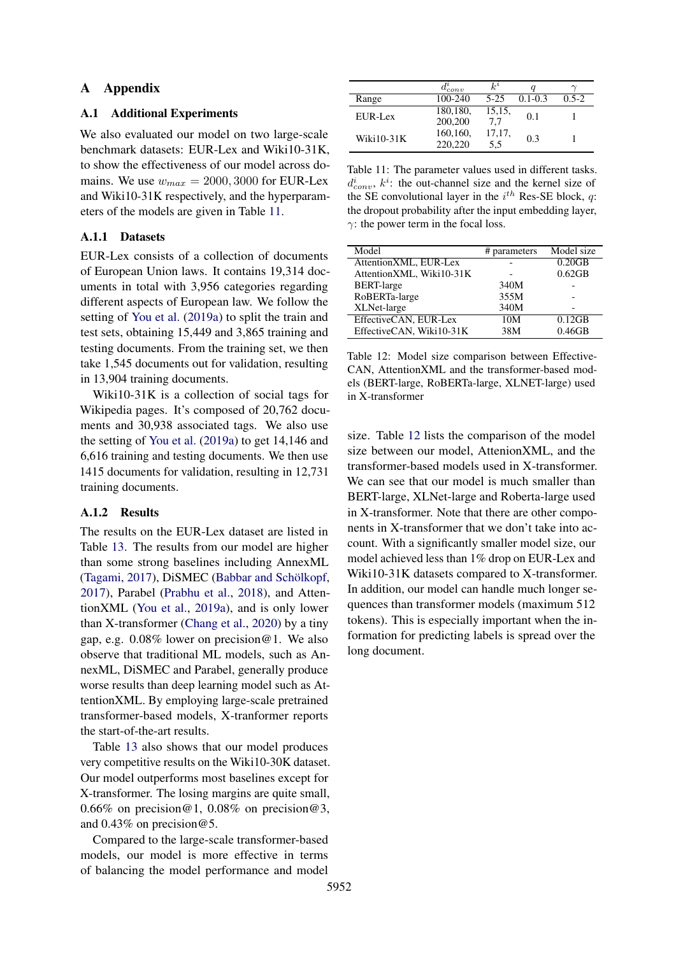# <span id="page-11-0"></span>A Appendix

### A.1 Additional Experiments

We also evaluated our model on two large-scale benchmark datasets: EUR-Lex and Wiki10-31K, to show the effectiveness of our model across domains. We use  $w_{max} = 2000, 3000$  for EUR-Lex and Wiki10-31K respectively, and the hyperparameters of the models are given in Table [11.](#page-11-1)

### A.1.1 Datasets

EUR-Lex consists of a collection of documents of European Union laws. It contains 19,314 documents in total with 3,956 categories regarding different aspects of European law. We follow the setting of [You et al.](#page-10-0) [\(2019a\)](#page-10-0) to split the train and test sets, obtaining 15,449 and 3,865 training and testing documents. From the training set, we then take 1,545 documents out for validation, resulting in 13,904 training documents.

Wiki10-31K is a collection of social tags for Wikipedia pages. It's composed of 20,762 documents and 30,938 associated tags. We also use the setting of [You et al.](#page-10-0) [\(2019a\)](#page-10-0) to get 14,146 and 6,616 training and testing documents. We then use 1415 documents for validation, resulting in 12,731 training documents.

### A.1.2 Results

The results on the EUR-Lex dataset are listed in Table [13.](#page-12-0) The results from our model are higher than some strong baselines including AnnexML [\(Tagami,](#page-10-7) [2017\)](#page-10-7), DiSMEC [\(Babbar and Schölkopf,](#page-8-3) [2017\)](#page-8-3), Parabel [\(Prabhu et al.,](#page-9-20) [2018\)](#page-9-20), and AttentionXML [\(You et al.,](#page-10-0) [2019a\)](#page-10-0), and is only lower than X-transformer [\(Chang et al.,](#page-9-1) [2020\)](#page-9-1) by a tiny gap, e.g. 0.08% lower on precision@1. We also observe that traditional ML models, such as AnnexML, DiSMEC and Parabel, generally produce worse results than deep learning model such as AttentionXML. By employing large-scale pretrained transformer-based models, X-tranformer reports the start-of-the-art results.

Table [13](#page-12-0) also shows that our model produces very competitive results on the Wiki10-30K dataset. Our model outperforms most baselines except for X-transformer. The losing margins are quite small, 0.66% on precision  $@1$ , 0.08% on precision  $@3$ , and 0.43% on precision@5.

Compared to the large-scale transformer-based models, our model is more effective in terms of balancing the model performance and model

<span id="page-11-1"></span>

|              | $a_{conv}$           | $k^i$          |             |            |
|--------------|----------------------|----------------|-------------|------------|
| Range        | 100-240              | $5 - 25$       | $0.1 - 0.3$ | $0.5 - 2.$ |
| EUR-Lex      | 180, 180,<br>200,200 | 15,15,<br>7.7  | 0.1         |            |
| $Wiki10-31K$ | 160,160,<br>220,220  | 17, 17,<br>5,5 | 0.3         |            |

Table 11: The parameter values used in different tasks.  $d_{conv}^i$ ,  $k^i$ : the out-channel size and the kernel size of the SE convolutional layer in the  $i^{th}$  Res-SE block, q: the dropout probability after the input embedding layer,  $\gamma$ : the power term in the focal loss.

<span id="page-11-2"></span>

| Model                    | # parameters | Model size |
|--------------------------|--------------|------------|
| AttentionXML, EUR-Lex    |              | 0.20GB     |
| AttentionXML, Wiki10-31K |              | 0.62GB     |
| <b>BERT-large</b>        | 340M         |            |
| RoBERTa-large            | 355M         |            |
| XLNet-large              | 340M         |            |
| EffectiveCAN, EUR-Lex    | 10M          | 0.12GB     |
| EffectiveCAN, Wiki10-31K | 38M          | 0.46GB     |

Table 12: Model size comparison between Effective-CAN, AttentionXML and the transformer-based models (BERT-large, RoBERTa-large, XLNET-large) used in X-transformer

size. Table [12](#page-11-2) lists the comparison of the model size between our model, AttenionXML, and the transformer-based models used in X-transformer. We can see that our model is much smaller than BERT-large, XLNet-large and Roberta-large used in X-transformer. Note that there are other components in X-transformer that we don't take into account. With a significantly smaller model size, our model achieved less than 1% drop on EUR-Lex and Wiki10-31K datasets compared to X-transformer. In addition, our model can handle much longer sequences than transformer models (maximum 512 tokens). This is especially important when the information for predicting labels is spread over the long document.